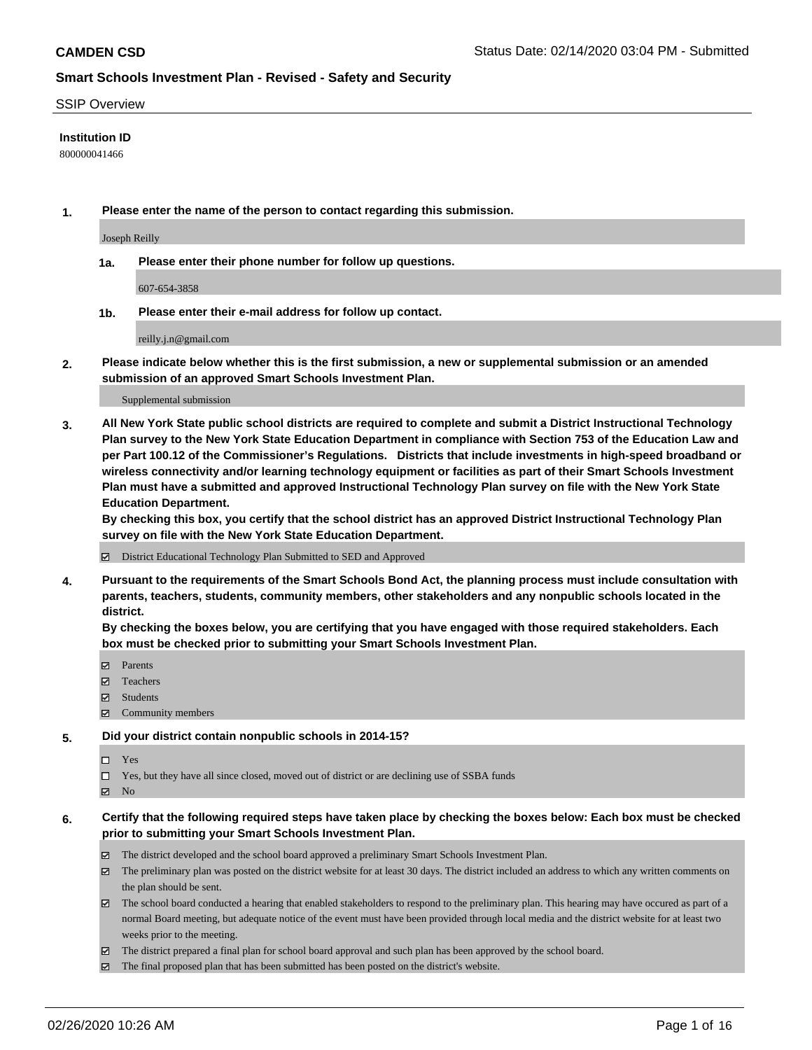#### SSIP Overview

#### **Institution ID**

800000041466

**1. Please enter the name of the person to contact regarding this submission.**

Joseph Reilly

**1a. Please enter their phone number for follow up questions.**

607-654-3858

**1b. Please enter their e-mail address for follow up contact.**

reilly.j.n@gmail.com

**2. Please indicate below whether this is the first submission, a new or supplemental submission or an amended submission of an approved Smart Schools Investment Plan.**

#### Supplemental submission

**3. All New York State public school districts are required to complete and submit a District Instructional Technology Plan survey to the New York State Education Department in compliance with Section 753 of the Education Law and per Part 100.12 of the Commissioner's Regulations. Districts that include investments in high-speed broadband or wireless connectivity and/or learning technology equipment or facilities as part of their Smart Schools Investment Plan must have a submitted and approved Instructional Technology Plan survey on file with the New York State Education Department.** 

**By checking this box, you certify that the school district has an approved District Instructional Technology Plan survey on file with the New York State Education Department.**

District Educational Technology Plan Submitted to SED and Approved

**4. Pursuant to the requirements of the Smart Schools Bond Act, the planning process must include consultation with parents, teachers, students, community members, other stakeholders and any nonpublic schools located in the district.** 

**By checking the boxes below, you are certifying that you have engaged with those required stakeholders. Each box must be checked prior to submitting your Smart Schools Investment Plan.**

- **マ** Parents
- Teachers
- Students
- Community members

#### **5. Did your district contain nonpublic schools in 2014-15?**

 $\neg$  Yes

Yes, but they have all since closed, moved out of district or are declining use of SSBA funds

**Z** No

#### **6. Certify that the following required steps have taken place by checking the boxes below: Each box must be checked prior to submitting your Smart Schools Investment Plan.**

- The district developed and the school board approved a preliminary Smart Schools Investment Plan.
- $\boxtimes$  The preliminary plan was posted on the district website for at least 30 days. The district included an address to which any written comments on the plan should be sent.
- $\boxtimes$  The school board conducted a hearing that enabled stakeholders to respond to the preliminary plan. This hearing may have occured as part of a normal Board meeting, but adequate notice of the event must have been provided through local media and the district website for at least two weeks prior to the meeting.
- The district prepared a final plan for school board approval and such plan has been approved by the school board.
- $\boxtimes$  The final proposed plan that has been submitted has been posted on the district's website.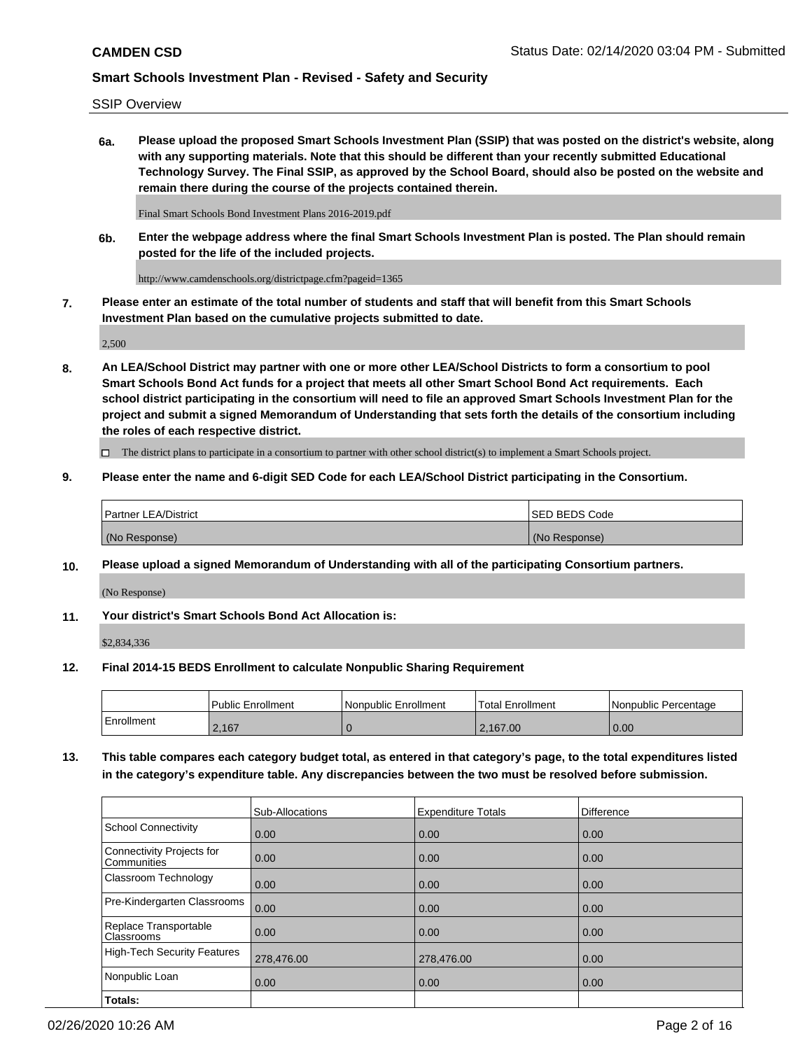SSIP Overview

**6a. Please upload the proposed Smart Schools Investment Plan (SSIP) that was posted on the district's website, along with any supporting materials. Note that this should be different than your recently submitted Educational Technology Survey. The Final SSIP, as approved by the School Board, should also be posted on the website and remain there during the course of the projects contained therein.**

Final Smart Schools Bond Investment Plans 2016-2019.pdf

**6b. Enter the webpage address where the final Smart Schools Investment Plan is posted. The Plan should remain posted for the life of the included projects.**

http://www.camdenschools.org/districtpage.cfm?pageid=1365

**7. Please enter an estimate of the total number of students and staff that will benefit from this Smart Schools Investment Plan based on the cumulative projects submitted to date.**

2,500

**8. An LEA/School District may partner with one or more other LEA/School Districts to form a consortium to pool Smart Schools Bond Act funds for a project that meets all other Smart School Bond Act requirements. Each school district participating in the consortium will need to file an approved Smart Schools Investment Plan for the project and submit a signed Memorandum of Understanding that sets forth the details of the consortium including the roles of each respective district.**

 $\Box$  The district plans to participate in a consortium to partner with other school district(s) to implement a Smart Schools project.

#### **9. Please enter the name and 6-digit SED Code for each LEA/School District participating in the Consortium.**

| Partner LEA/District | <b>ISED BEDS Code</b> |
|----------------------|-----------------------|
| (No Response)        | (No Response)         |

#### **10. Please upload a signed Memorandum of Understanding with all of the participating Consortium partners.**

(No Response)

**11. Your district's Smart Schools Bond Act Allocation is:**

\$2,834,336

#### **12. Final 2014-15 BEDS Enrollment to calculate Nonpublic Sharing Requirement**

|            | Public Enrollment | Nonpublic Enrollment | Total Enrollment | l Nonpublic Percentage |
|------------|-------------------|----------------------|------------------|------------------------|
| Enrollment | 2,167             |                      | .167.00          | 0.00                   |

**13. This table compares each category budget total, as entered in that category's page, to the total expenditures listed in the category's expenditure table. Any discrepancies between the two must be resolved before submission.**

|                                          | Sub-Allocations | <b>Expenditure Totals</b> | Difference |
|------------------------------------------|-----------------|---------------------------|------------|
| <b>School Connectivity</b>               | 0.00            | 0.00                      | 0.00       |
| Connectivity Projects for<br>Communities | 0.00            | 0.00                      | 0.00       |
| Classroom Technology                     | 0.00            | 0.00                      | 0.00       |
| Pre-Kindergarten Classrooms              | 0.00            | 0.00                      | 0.00       |
| Replace Transportable<br>Classrooms      | 0.00            | 0.00                      | 0.00       |
| <b>High-Tech Security Features</b>       | 278,476.00      | 278,476.00                | 0.00       |
| Nonpublic Loan                           | 0.00            | 0.00                      | 0.00       |
| Totals:                                  |                 |                           |            |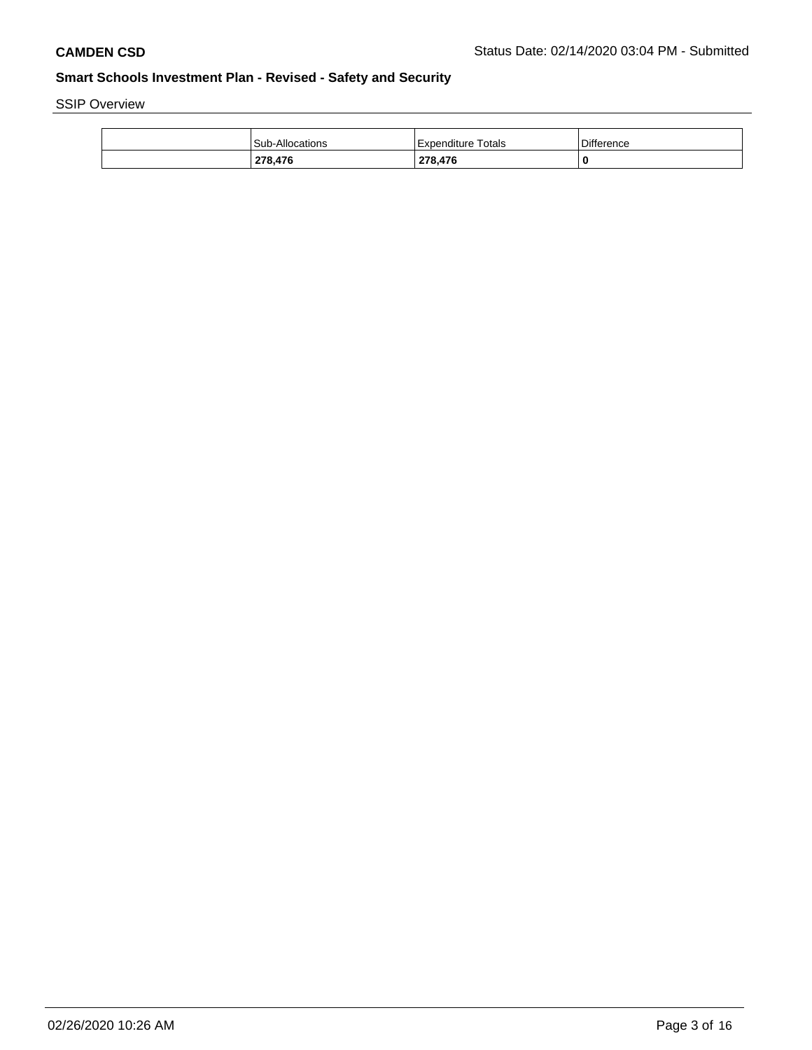SSIP Overview

| 278,476                | 278,476            | 0          |
|------------------------|--------------------|------------|
| <b>Sub-Allocations</b> | Expenditure Totals | Difference |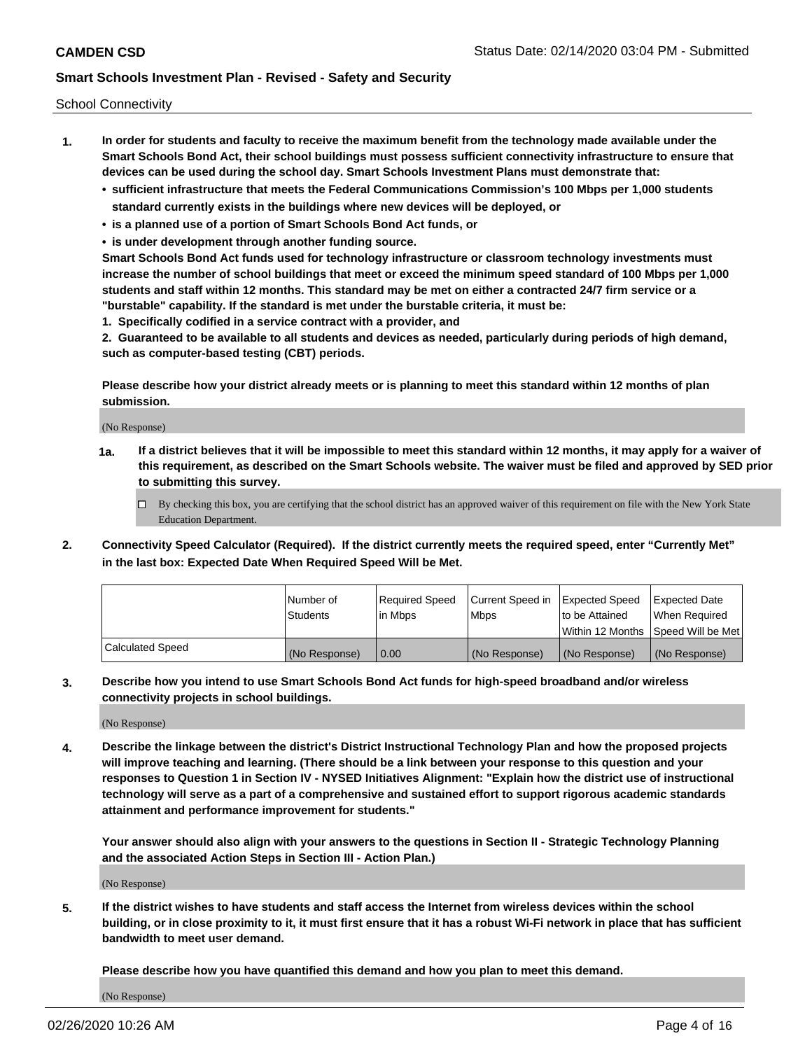School Connectivity

- **1. In order for students and faculty to receive the maximum benefit from the technology made available under the Smart Schools Bond Act, their school buildings must possess sufficient connectivity infrastructure to ensure that devices can be used during the school day. Smart Schools Investment Plans must demonstrate that:**
	- **• sufficient infrastructure that meets the Federal Communications Commission's 100 Mbps per 1,000 students standard currently exists in the buildings where new devices will be deployed, or**
	- **• is a planned use of a portion of Smart Schools Bond Act funds, or**
	- **• is under development through another funding source.**

**Smart Schools Bond Act funds used for technology infrastructure or classroom technology investments must increase the number of school buildings that meet or exceed the minimum speed standard of 100 Mbps per 1,000 students and staff within 12 months. This standard may be met on either a contracted 24/7 firm service or a "burstable" capability. If the standard is met under the burstable criteria, it must be:**

**1. Specifically codified in a service contract with a provider, and**

**2. Guaranteed to be available to all students and devices as needed, particularly during periods of high demand, such as computer-based testing (CBT) periods.**

**Please describe how your district already meets or is planning to meet this standard within 12 months of plan submission.**

(No Response)

**1a. If a district believes that it will be impossible to meet this standard within 12 months, it may apply for a waiver of this requirement, as described on the Smart Schools website. The waiver must be filed and approved by SED prior to submitting this survey.**

 $\Box$  By checking this box, you are certifying that the school district has an approved waiver of this requirement on file with the New York State Education Department.

**2. Connectivity Speed Calculator (Required). If the district currently meets the required speed, enter "Currently Met" in the last box: Expected Date When Required Speed Will be Met.**

|                  | l Number of     | Reauired Speed | Current Speed in | Expected Speed | Expected Date                       |
|------------------|-----------------|----------------|------------------|----------------|-------------------------------------|
|                  | <b>Students</b> | l in Mbps      | l Mbps           | to be Attained | When Required                       |
|                  |                 |                |                  |                | Within 12 Months ISpeed Will be Met |
| Calculated Speed | (No Response)   | 0.00           | (No Response)    | (No Response)  | (No Response)                       |

**3. Describe how you intend to use Smart Schools Bond Act funds for high-speed broadband and/or wireless connectivity projects in school buildings.**

(No Response)

**4. Describe the linkage between the district's District Instructional Technology Plan and how the proposed projects will improve teaching and learning. (There should be a link between your response to this question and your responses to Question 1 in Section IV - NYSED Initiatives Alignment: "Explain how the district use of instructional technology will serve as a part of a comprehensive and sustained effort to support rigorous academic standards attainment and performance improvement for students."** 

**Your answer should also align with your answers to the questions in Section II - Strategic Technology Planning and the associated Action Steps in Section III - Action Plan.)**

(No Response)

**5. If the district wishes to have students and staff access the Internet from wireless devices within the school building, or in close proximity to it, it must first ensure that it has a robust Wi-Fi network in place that has sufficient bandwidth to meet user demand.**

**Please describe how you have quantified this demand and how you plan to meet this demand.**

(No Response)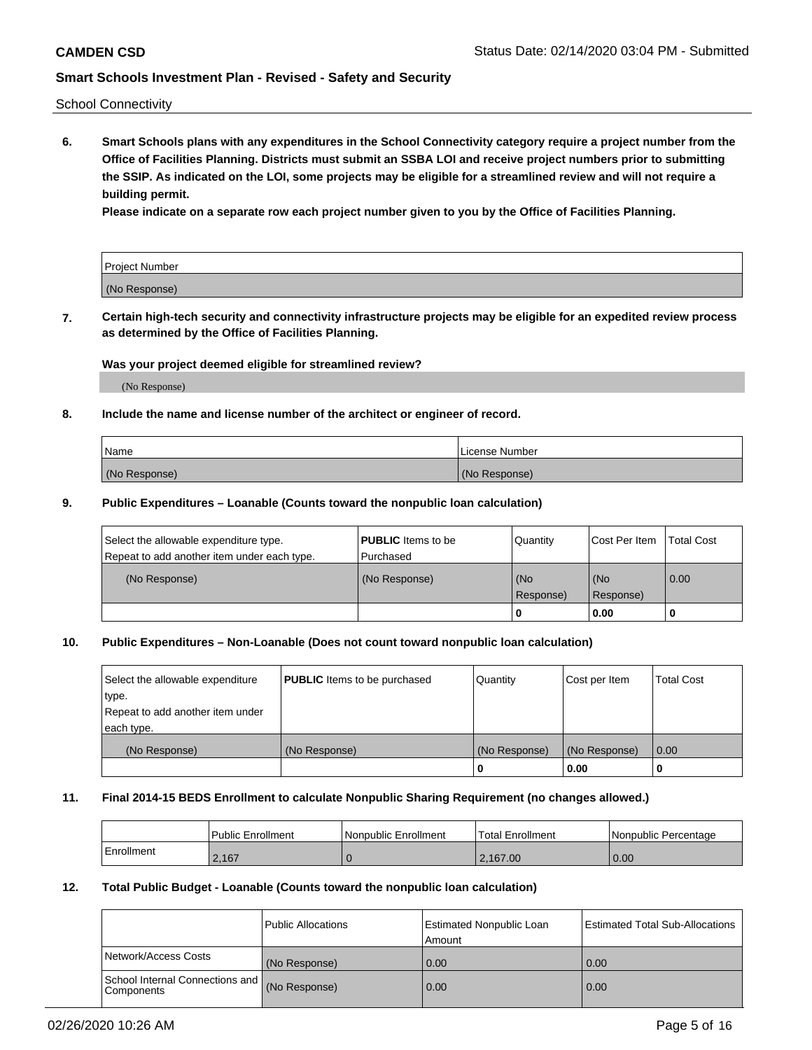School Connectivity

**6. Smart Schools plans with any expenditures in the School Connectivity category require a project number from the Office of Facilities Planning. Districts must submit an SSBA LOI and receive project numbers prior to submitting the SSIP. As indicated on the LOI, some projects may be eligible for a streamlined review and will not require a building permit.**

**Please indicate on a separate row each project number given to you by the Office of Facilities Planning.**

| Project Number |  |
|----------------|--|
|                |  |
| (No Response)  |  |

**7. Certain high-tech security and connectivity infrastructure projects may be eligible for an expedited review process as determined by the Office of Facilities Planning.**

#### **Was your project deemed eligible for streamlined review?**

(No Response)

### **8. Include the name and license number of the architect or engineer of record.**

| Name          | License Number |
|---------------|----------------|
| (No Response) | (No Response)  |

#### **9. Public Expenditures – Loanable (Counts toward the nonpublic loan calculation)**

| Select the allowable expenditure type.<br>Repeat to add another item under each type. | <b>PUBLIC</b> Items to be<br>l Purchased | Quantity           | Cost Per Item    | <b>Total Cost</b> |
|---------------------------------------------------------------------------------------|------------------------------------------|--------------------|------------------|-------------------|
| (No Response)                                                                         | (No Response)                            | l (No<br>Response) | (No<br>Response) | 0.00              |
|                                                                                       |                                          | U                  | 0.00             |                   |

# **10. Public Expenditures – Non-Loanable (Does not count toward nonpublic loan calculation)**

| Select the allowable expenditure<br>type.<br>Repeat to add another item under<br>each type. | <b>PUBLIC</b> Items to be purchased | Quantity      | Cost per Item | <b>Total Cost</b> |
|---------------------------------------------------------------------------------------------|-------------------------------------|---------------|---------------|-------------------|
| (No Response)                                                                               | (No Response)                       | (No Response) | (No Response) | 0.00              |
|                                                                                             |                                     |               | 0.00          |                   |

#### **11. Final 2014-15 BEDS Enrollment to calculate Nonpublic Sharing Requirement (no changes allowed.)**

|            | Public Enrollment | Nonpublic Enrollment | <b>Total Enrollment</b> | l Nonpublic Percentage |
|------------|-------------------|----------------------|-------------------------|------------------------|
| Enrollment | 2.167             |                      | 2.167.00                | 0.00                   |

#### **12. Total Public Budget - Loanable (Counts toward the nonpublic loan calculation)**

|                                                      | Public Allocations | <b>Estimated Nonpublic Loan</b><br>Amount | Estimated Total Sub-Allocations |
|------------------------------------------------------|--------------------|-------------------------------------------|---------------------------------|
| Network/Access Costs                                 | (No Response)      | 0.00                                      | 0.00                            |
| School Internal Connections and<br><b>Components</b> | (No Response)      | 0.00                                      | 0.00                            |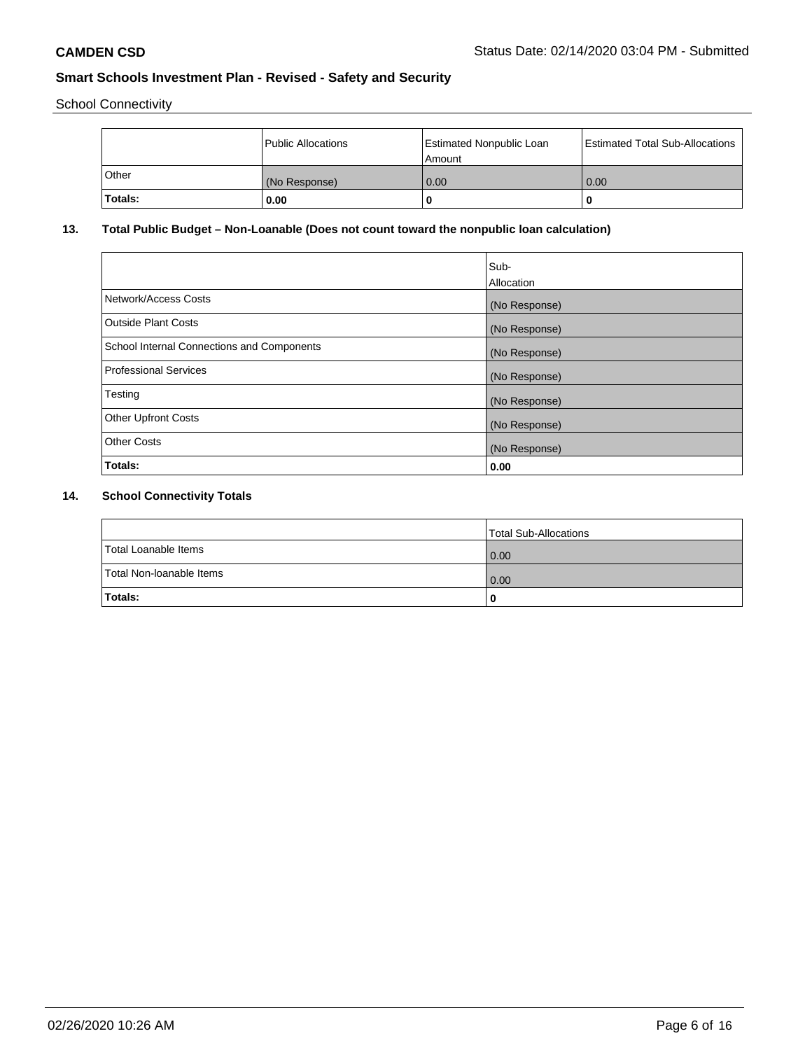School Connectivity

|         | Public Allocations | <b>Estimated Nonpublic Loan</b><br>Amount | <b>Estimated Total Sub-Allocations</b> |
|---------|--------------------|-------------------------------------------|----------------------------------------|
| l Other | (No Response)      | 0.00                                      | 0.00                                   |
| Totals: | 0.00               | 0                                         |                                        |

# **13. Total Public Budget – Non-Loanable (Does not count toward the nonpublic loan calculation)**

| Sub-<br>Allocation |
|--------------------|
| (No Response)      |
| (No Response)      |
| (No Response)      |
| (No Response)      |
| (No Response)      |
| (No Response)      |
| (No Response)      |
| 0.00               |
|                    |

# **14. School Connectivity Totals**

|                          | Total Sub-Allocations |
|--------------------------|-----------------------|
| Total Loanable Items     | 0.00                  |
| Total Non-Ioanable Items | 0.00                  |
| Totals:                  | 0                     |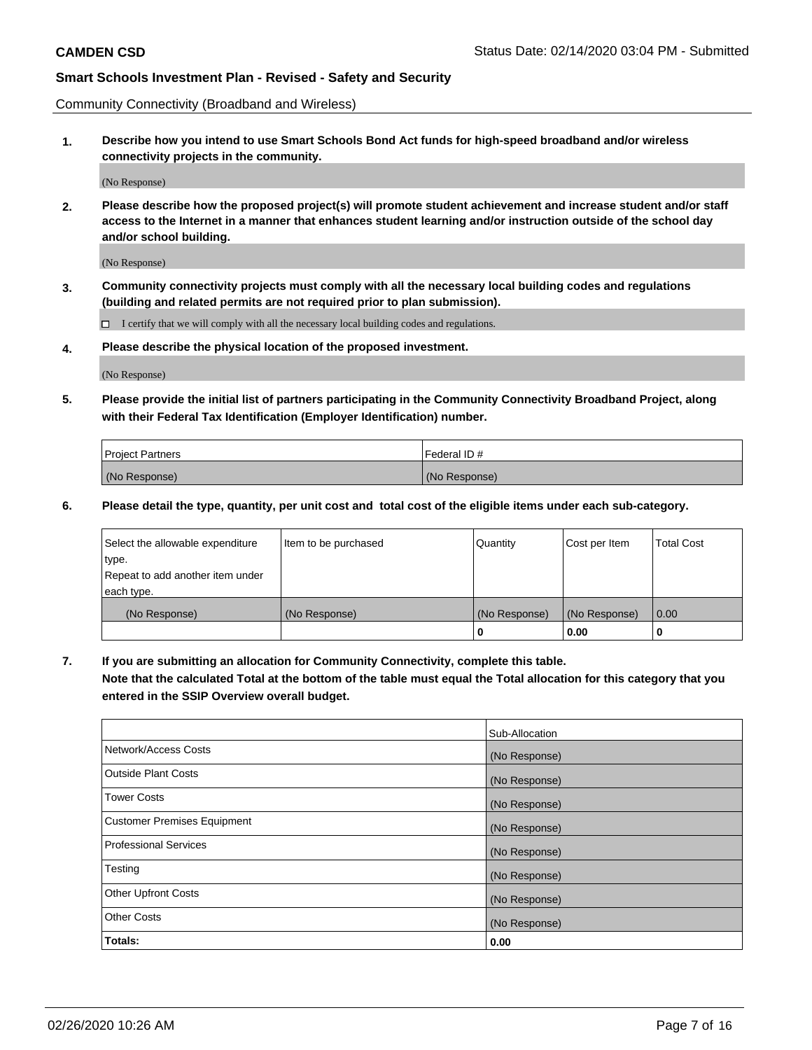Community Connectivity (Broadband and Wireless)

**1. Describe how you intend to use Smart Schools Bond Act funds for high-speed broadband and/or wireless connectivity projects in the community.**

(No Response)

**2. Please describe how the proposed project(s) will promote student achievement and increase student and/or staff access to the Internet in a manner that enhances student learning and/or instruction outside of the school day and/or school building.**

(No Response)

**3. Community connectivity projects must comply with all the necessary local building codes and regulations (building and related permits are not required prior to plan submission).**

 $\Box$  I certify that we will comply with all the necessary local building codes and regulations.

**4. Please describe the physical location of the proposed investment.**

(No Response)

**5. Please provide the initial list of partners participating in the Community Connectivity Broadband Project, along with their Federal Tax Identification (Employer Identification) number.**

| <b>Project Partners</b> | l Federal ID # |
|-------------------------|----------------|
| (No Response)           | (No Response)  |

**6. Please detail the type, quantity, per unit cost and total cost of the eligible items under each sub-category.**

| Select the allowable expenditure | Item to be purchased | Quantity      | Cost per Item | <b>Total Cost</b> |
|----------------------------------|----------------------|---------------|---------------|-------------------|
| type.                            |                      |               |               |                   |
| Repeat to add another item under |                      |               |               |                   |
| each type.                       |                      |               |               |                   |
| (No Response)                    | (No Response)        | (No Response) | (No Response) | 0.00              |
|                                  |                      | o             | 0.00          |                   |

**7. If you are submitting an allocation for Community Connectivity, complete this table.**

**Note that the calculated Total at the bottom of the table must equal the Total allocation for this category that you entered in the SSIP Overview overall budget.**

|                                    | Sub-Allocation |
|------------------------------------|----------------|
| Network/Access Costs               | (No Response)  |
| Outside Plant Costs                | (No Response)  |
| <b>Tower Costs</b>                 | (No Response)  |
| <b>Customer Premises Equipment</b> | (No Response)  |
| <b>Professional Services</b>       | (No Response)  |
| Testing                            | (No Response)  |
| <b>Other Upfront Costs</b>         | (No Response)  |
| <b>Other Costs</b>                 | (No Response)  |
| Totals:                            | 0.00           |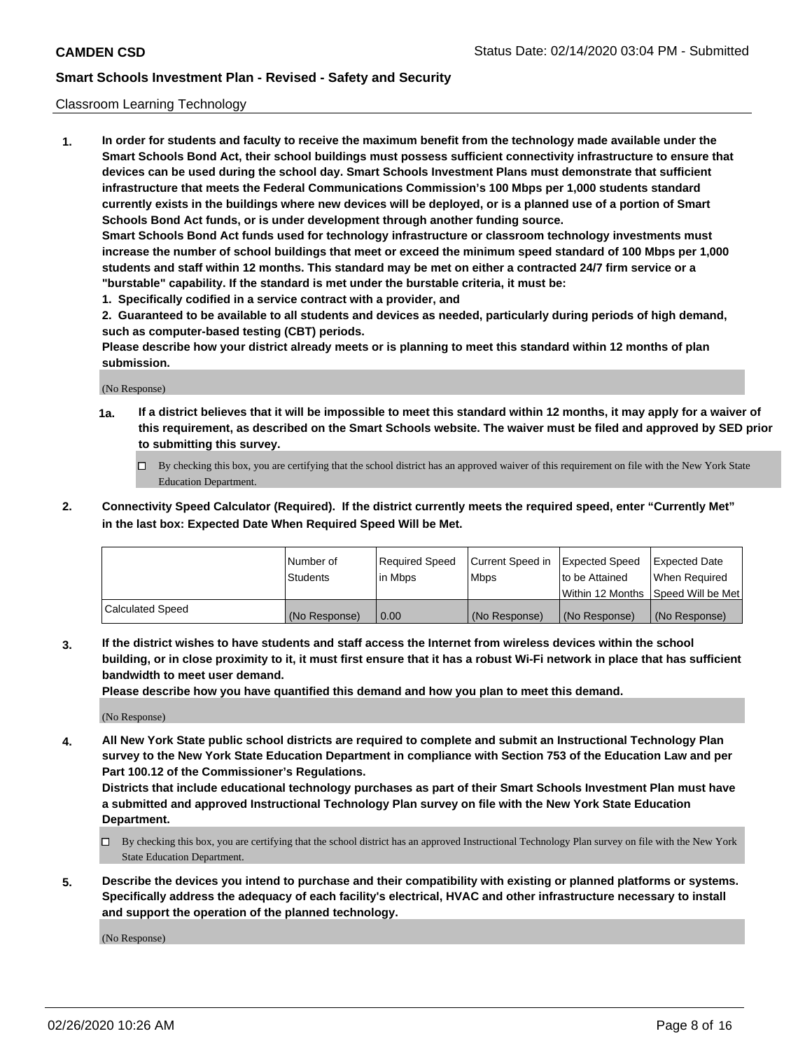### Classroom Learning Technology

**1. In order for students and faculty to receive the maximum benefit from the technology made available under the Smart Schools Bond Act, their school buildings must possess sufficient connectivity infrastructure to ensure that devices can be used during the school day. Smart Schools Investment Plans must demonstrate that sufficient infrastructure that meets the Federal Communications Commission's 100 Mbps per 1,000 students standard currently exists in the buildings where new devices will be deployed, or is a planned use of a portion of Smart Schools Bond Act funds, or is under development through another funding source. Smart Schools Bond Act funds used for technology infrastructure or classroom technology investments must increase the number of school buildings that meet or exceed the minimum speed standard of 100 Mbps per 1,000 students and staff within 12 months. This standard may be met on either a contracted 24/7 firm service or a**

- **"burstable" capability. If the standard is met under the burstable criteria, it must be:**
- **1. Specifically codified in a service contract with a provider, and**

**2. Guaranteed to be available to all students and devices as needed, particularly during periods of high demand, such as computer-based testing (CBT) periods.**

**Please describe how your district already meets or is planning to meet this standard within 12 months of plan submission.**

(No Response)

- **1a. If a district believes that it will be impossible to meet this standard within 12 months, it may apply for a waiver of this requirement, as described on the Smart Schools website. The waiver must be filed and approved by SED prior to submitting this survey.**
	- By checking this box, you are certifying that the school district has an approved waiver of this requirement on file with the New York State Education Department.
- **2. Connectivity Speed Calculator (Required). If the district currently meets the required speed, enter "Currently Met" in the last box: Expected Date When Required Speed Will be Met.**

|                  | l Number of     | Required Speed | Current Speed in | <b>Expected Speed</b> | <b>Expected Date</b>                |
|------------------|-----------------|----------------|------------------|-----------------------|-------------------------------------|
|                  | <b>Students</b> | l in Mbps      | l Mbps           | to be Attained        | When Required                       |
|                  |                 |                |                  |                       | Within 12 Months  Speed Will be Met |
| Calculated Speed | (No Response)   | 0.00           | (No Response)    | l (No Response)       | (No Response)                       |

**3. If the district wishes to have students and staff access the Internet from wireless devices within the school building, or in close proximity to it, it must first ensure that it has a robust Wi-Fi network in place that has sufficient bandwidth to meet user demand.**

**Please describe how you have quantified this demand and how you plan to meet this demand.**

(No Response)

**4. All New York State public school districts are required to complete and submit an Instructional Technology Plan survey to the New York State Education Department in compliance with Section 753 of the Education Law and per Part 100.12 of the Commissioner's Regulations.**

**Districts that include educational technology purchases as part of their Smart Schools Investment Plan must have a submitted and approved Instructional Technology Plan survey on file with the New York State Education Department.**

- By checking this box, you are certifying that the school district has an approved Instructional Technology Plan survey on file with the New York State Education Department.
- **5. Describe the devices you intend to purchase and their compatibility with existing or planned platforms or systems. Specifically address the adequacy of each facility's electrical, HVAC and other infrastructure necessary to install and support the operation of the planned technology.**

(No Response)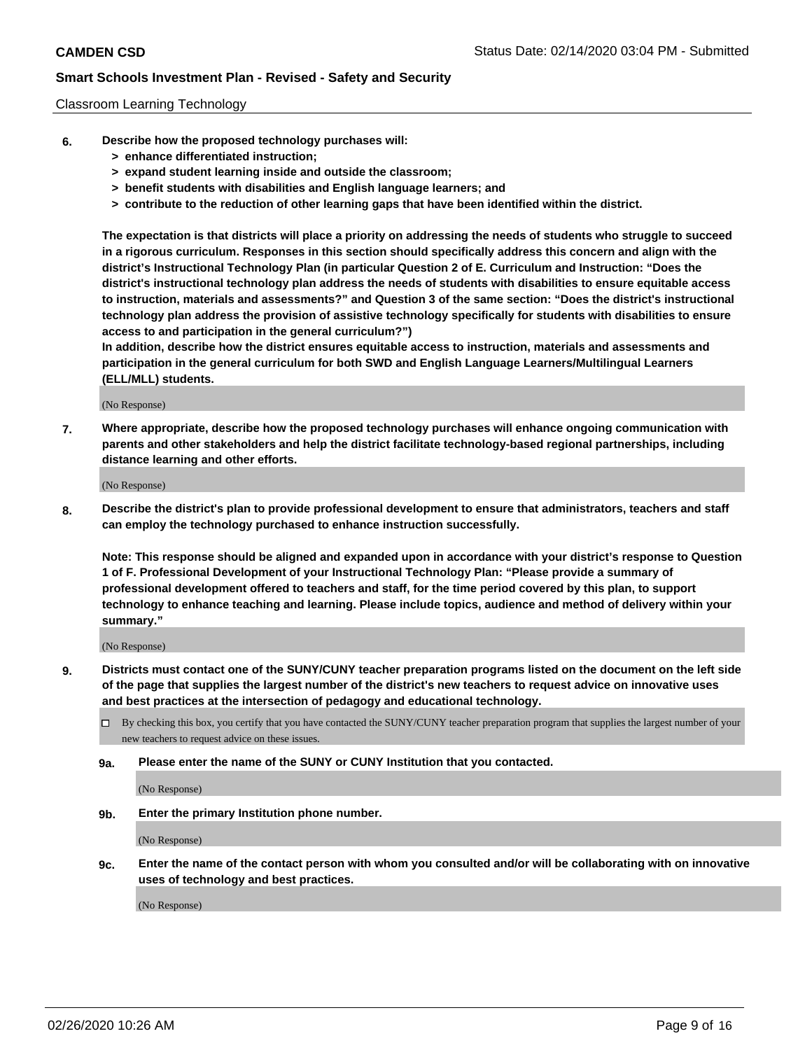### Classroom Learning Technology

- **6. Describe how the proposed technology purchases will:**
	- **> enhance differentiated instruction;**
	- **> expand student learning inside and outside the classroom;**
	- **> benefit students with disabilities and English language learners; and**
	- **> contribute to the reduction of other learning gaps that have been identified within the district.**

**The expectation is that districts will place a priority on addressing the needs of students who struggle to succeed in a rigorous curriculum. Responses in this section should specifically address this concern and align with the district's Instructional Technology Plan (in particular Question 2 of E. Curriculum and Instruction: "Does the district's instructional technology plan address the needs of students with disabilities to ensure equitable access to instruction, materials and assessments?" and Question 3 of the same section: "Does the district's instructional technology plan address the provision of assistive technology specifically for students with disabilities to ensure access to and participation in the general curriculum?")**

**In addition, describe how the district ensures equitable access to instruction, materials and assessments and participation in the general curriculum for both SWD and English Language Learners/Multilingual Learners (ELL/MLL) students.**

(No Response)

**7. Where appropriate, describe how the proposed technology purchases will enhance ongoing communication with parents and other stakeholders and help the district facilitate technology-based regional partnerships, including distance learning and other efforts.**

(No Response)

**8. Describe the district's plan to provide professional development to ensure that administrators, teachers and staff can employ the technology purchased to enhance instruction successfully.**

**Note: This response should be aligned and expanded upon in accordance with your district's response to Question 1 of F. Professional Development of your Instructional Technology Plan: "Please provide a summary of professional development offered to teachers and staff, for the time period covered by this plan, to support technology to enhance teaching and learning. Please include topics, audience and method of delivery within your summary."**

(No Response)

- **9. Districts must contact one of the SUNY/CUNY teacher preparation programs listed on the document on the left side of the page that supplies the largest number of the district's new teachers to request advice on innovative uses and best practices at the intersection of pedagogy and educational technology.**
	- By checking this box, you certify that you have contacted the SUNY/CUNY teacher preparation program that supplies the largest number of your new teachers to request advice on these issues.
	- **9a. Please enter the name of the SUNY or CUNY Institution that you contacted.**

(No Response)

**9b. Enter the primary Institution phone number.**

(No Response)

**9c. Enter the name of the contact person with whom you consulted and/or will be collaborating with on innovative uses of technology and best practices.**

(No Response)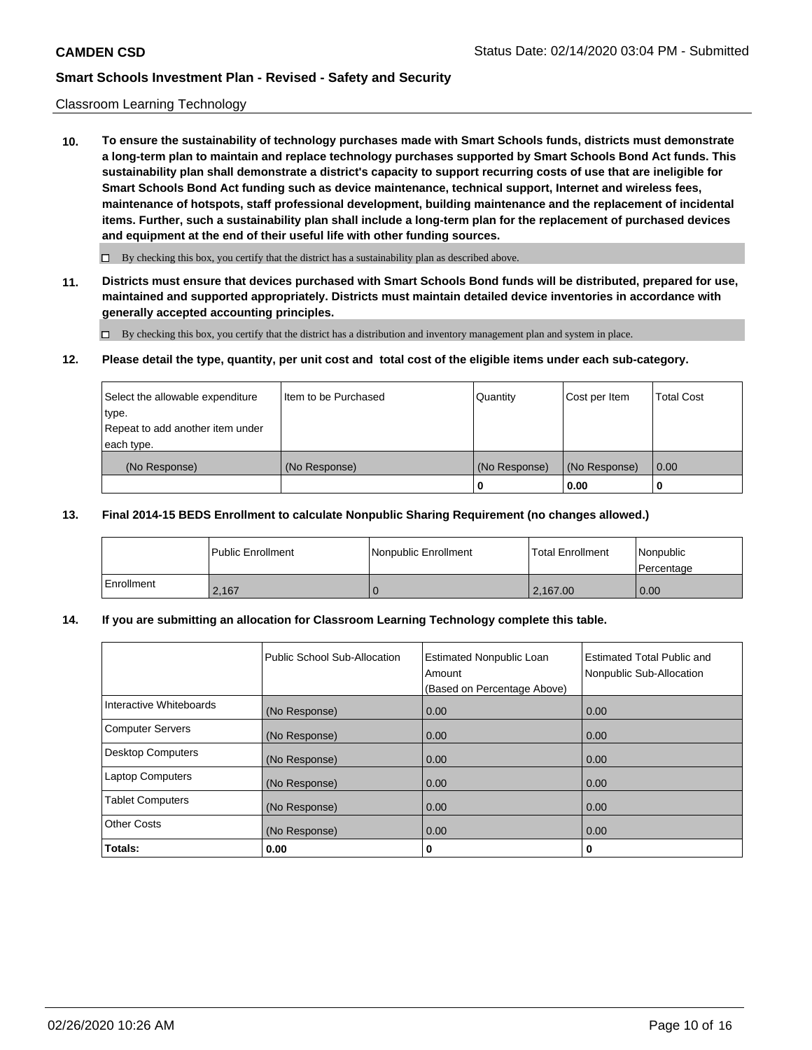### Classroom Learning Technology

**10. To ensure the sustainability of technology purchases made with Smart Schools funds, districts must demonstrate a long-term plan to maintain and replace technology purchases supported by Smart Schools Bond Act funds. This sustainability plan shall demonstrate a district's capacity to support recurring costs of use that are ineligible for Smart Schools Bond Act funding such as device maintenance, technical support, Internet and wireless fees, maintenance of hotspots, staff professional development, building maintenance and the replacement of incidental items. Further, such a sustainability plan shall include a long-term plan for the replacement of purchased devices and equipment at the end of their useful life with other funding sources.**

 $\Box$  By checking this box, you certify that the district has a sustainability plan as described above.

**11. Districts must ensure that devices purchased with Smart Schools Bond funds will be distributed, prepared for use, maintained and supported appropriately. Districts must maintain detailed device inventories in accordance with generally accepted accounting principles.**

By checking this box, you certify that the district has a distribution and inventory management plan and system in place.

#### **12. Please detail the type, quantity, per unit cost and total cost of the eligible items under each sub-category.**

| Select the allowable expenditure<br>∣type. | Item to be Purchased | Quantity      | Cost per Item | <b>Total Cost</b> |
|--------------------------------------------|----------------------|---------------|---------------|-------------------|
| Repeat to add another item under           |                      |               |               |                   |
| each type.                                 |                      |               |               |                   |
| (No Response)                              | (No Response)        | (No Response) | (No Response) | 0.00              |
|                                            |                      | 0             | 0.00          |                   |

#### **13. Final 2014-15 BEDS Enrollment to calculate Nonpublic Sharing Requirement (no changes allowed.)**

|            | l Public Enrollment | Nonpublic Enrollment | <b>Total Enrollment</b> | Nonpublic<br>l Percentage |
|------------|---------------------|----------------------|-------------------------|---------------------------|
| Enrollment | 2,167               |                      | 2,167.00                | 0.00                      |

### **14. If you are submitting an allocation for Classroom Learning Technology complete this table.**

|                         | Public School Sub-Allocation | <b>Estimated Nonpublic Loan</b><br>Amount<br>(Based on Percentage Above) | <b>Estimated Total Public and</b><br>Nonpublic Sub-Allocation |
|-------------------------|------------------------------|--------------------------------------------------------------------------|---------------------------------------------------------------|
| Interactive Whiteboards | (No Response)                | 0.00                                                                     | 0.00                                                          |
| Computer Servers        | (No Response)                | 0.00                                                                     | 0.00                                                          |
| Desktop Computers       | (No Response)                | 0.00                                                                     | 0.00                                                          |
| <b>Laptop Computers</b> | (No Response)                | 0.00                                                                     | 0.00                                                          |
| <b>Tablet Computers</b> | (No Response)                | 0.00                                                                     | 0.00                                                          |
| Other Costs             | (No Response)                | 0.00                                                                     | 0.00                                                          |
| Totals:                 | 0.00                         | 0                                                                        | 0                                                             |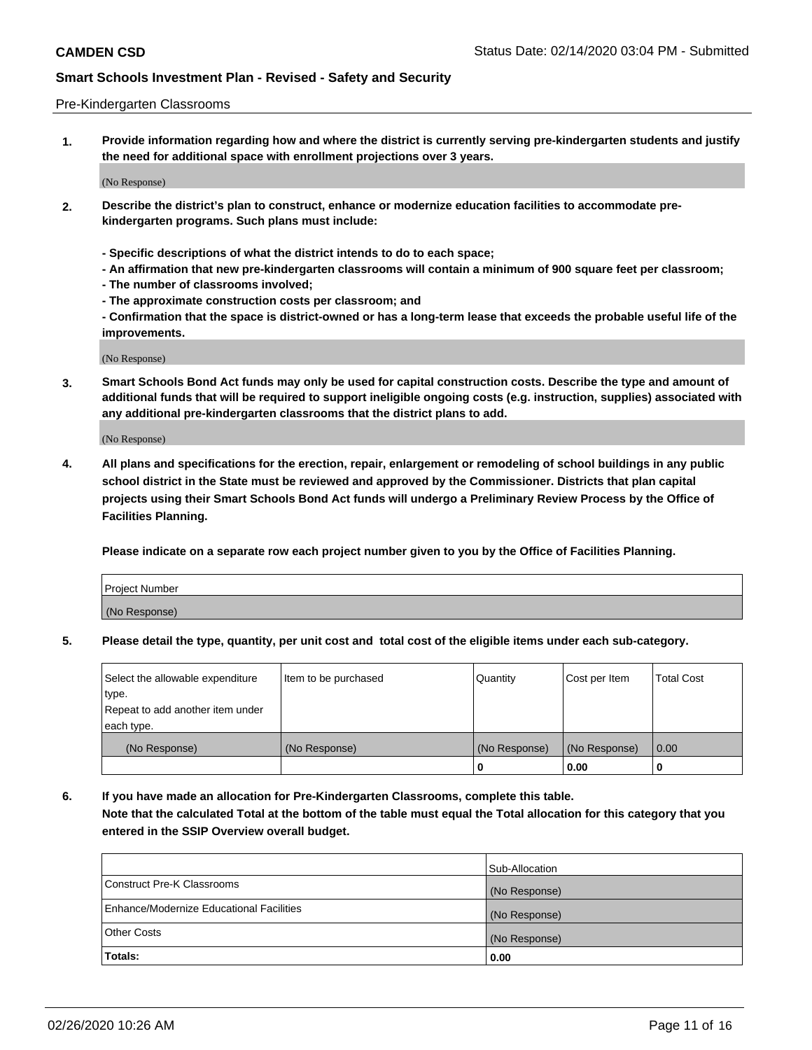#### Pre-Kindergarten Classrooms

**1. Provide information regarding how and where the district is currently serving pre-kindergarten students and justify the need for additional space with enrollment projections over 3 years.**

(No Response)

- **2. Describe the district's plan to construct, enhance or modernize education facilities to accommodate prekindergarten programs. Such plans must include:**
	- **Specific descriptions of what the district intends to do to each space;**
	- **An affirmation that new pre-kindergarten classrooms will contain a minimum of 900 square feet per classroom;**
	- **The number of classrooms involved;**
	- **The approximate construction costs per classroom; and**
	- **Confirmation that the space is district-owned or has a long-term lease that exceeds the probable useful life of the improvements.**

(No Response)

**3. Smart Schools Bond Act funds may only be used for capital construction costs. Describe the type and amount of additional funds that will be required to support ineligible ongoing costs (e.g. instruction, supplies) associated with any additional pre-kindergarten classrooms that the district plans to add.**

(No Response)

**4. All plans and specifications for the erection, repair, enlargement or remodeling of school buildings in any public school district in the State must be reviewed and approved by the Commissioner. Districts that plan capital projects using their Smart Schools Bond Act funds will undergo a Preliminary Review Process by the Office of Facilities Planning.**

**Please indicate on a separate row each project number given to you by the Office of Facilities Planning.**

| Project Number |  |
|----------------|--|
| (No Response)  |  |
|                |  |

**5. Please detail the type, quantity, per unit cost and total cost of the eligible items under each sub-category.**

| Select the allowable expenditure | Item to be purchased | Quantity      | Cost per Item | <b>Total Cost</b> |
|----------------------------------|----------------------|---------------|---------------|-------------------|
| 'type.                           |                      |               |               |                   |
| Repeat to add another item under |                      |               |               |                   |
| each type.                       |                      |               |               |                   |
| (No Response)                    | (No Response)        | (No Response) | (No Response) | 0.00              |
|                                  |                      | U             | 0.00          |                   |

**6. If you have made an allocation for Pre-Kindergarten Classrooms, complete this table. Note that the calculated Total at the bottom of the table must equal the Total allocation for this category that you entered in the SSIP Overview overall budget.**

|                                          | Sub-Allocation |
|------------------------------------------|----------------|
| Construct Pre-K Classrooms               | (No Response)  |
| Enhance/Modernize Educational Facilities | (No Response)  |
| <b>Other Costs</b>                       | (No Response)  |
| Totals:                                  | 0.00           |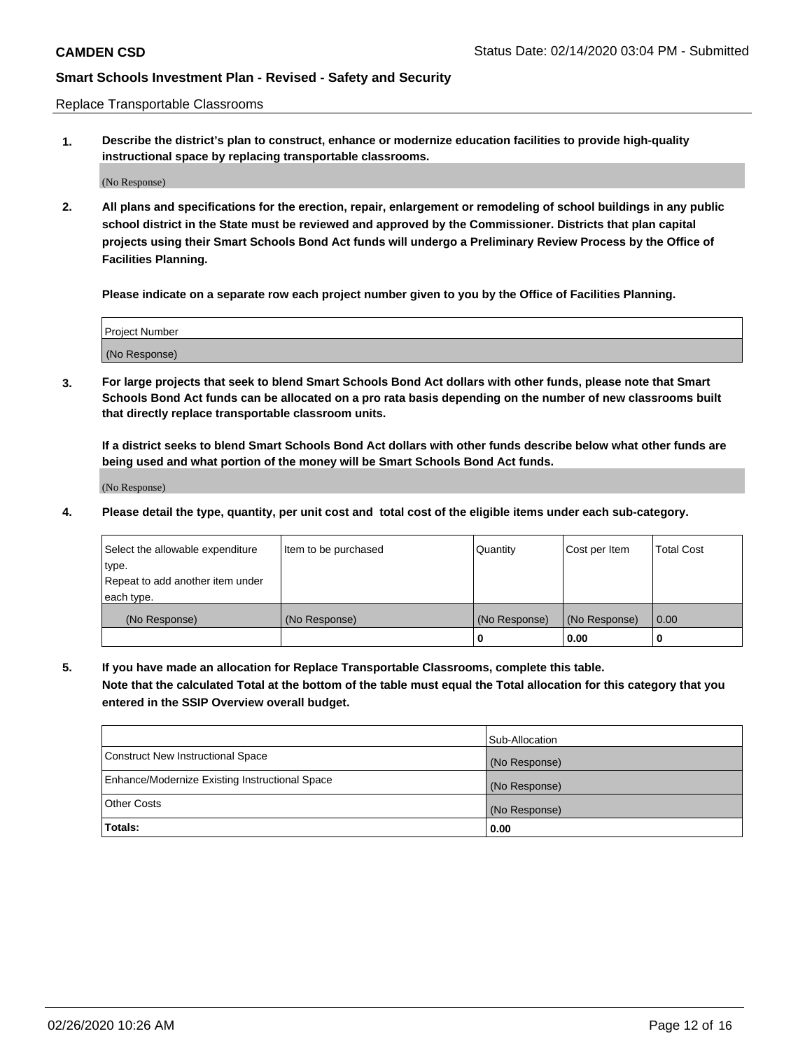Replace Transportable Classrooms

**1. Describe the district's plan to construct, enhance or modernize education facilities to provide high-quality instructional space by replacing transportable classrooms.**

(No Response)

**2. All plans and specifications for the erection, repair, enlargement or remodeling of school buildings in any public school district in the State must be reviewed and approved by the Commissioner. Districts that plan capital projects using their Smart Schools Bond Act funds will undergo a Preliminary Review Process by the Office of Facilities Planning.**

**Please indicate on a separate row each project number given to you by the Office of Facilities Planning.**

| Project Number |  |
|----------------|--|
|                |  |
|                |  |
|                |  |
|                |  |
| (No Response)  |  |
|                |  |
|                |  |
|                |  |

**3. For large projects that seek to blend Smart Schools Bond Act dollars with other funds, please note that Smart Schools Bond Act funds can be allocated on a pro rata basis depending on the number of new classrooms built that directly replace transportable classroom units.**

**If a district seeks to blend Smart Schools Bond Act dollars with other funds describe below what other funds are being used and what portion of the money will be Smart Schools Bond Act funds.**

(No Response)

**4. Please detail the type, quantity, per unit cost and total cost of the eligible items under each sub-category.**

| Select the allowable expenditure           | Item to be purchased | Quantity      | Cost per Item | <b>Total Cost</b> |
|--------------------------------------------|----------------------|---------------|---------------|-------------------|
| ∣type.<br>Repeat to add another item under |                      |               |               |                   |
| each type.                                 |                      |               |               |                   |
| (No Response)                              | (No Response)        | (No Response) | (No Response) | 0.00              |
|                                            |                      | 0             | 0.00          |                   |

**5. If you have made an allocation for Replace Transportable Classrooms, complete this table. Note that the calculated Total at the bottom of the table must equal the Total allocation for this category that you entered in the SSIP Overview overall budget.**

|                                                | Sub-Allocation |
|------------------------------------------------|----------------|
| Construct New Instructional Space              | (No Response)  |
| Enhance/Modernize Existing Instructional Space | (No Response)  |
| Other Costs                                    | (No Response)  |
| Totals:                                        | 0.00           |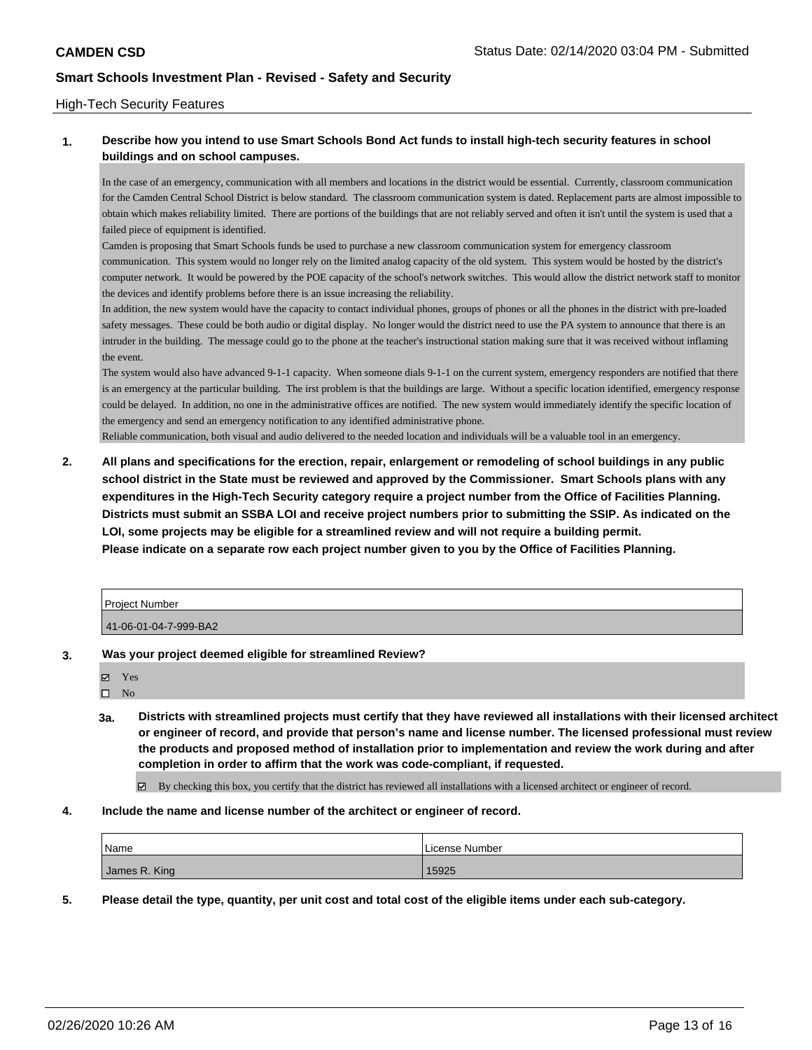### High-Tech Security Features

# **1. Describe how you intend to use Smart Schools Bond Act funds to install high-tech security features in school buildings and on school campuses.**

In the case of an emergency, communication with all members and locations in the district would be essential. Currently, classroom communication for the Camden Central School District is below standard. The classroom communication system is dated. Replacement parts are almost impossible to obtain which makes reliability limited. There are portions of the buildings that are not reliably served and often it isn't until the system is used that a failed piece of equipment is identified.

Camden is proposing that Smart Schools funds be used to purchase a new classroom communication system for emergency classroom communication. This system would no longer rely on the limited analog capacity of the old system. This system would be hosted by the district's computer network. It would be powered by the POE capacity of the school's network switches. This would allow the district network staff to monitor the devices and identify problems before there is an issue increasing the reliability.

In addition, the new system would have the capacity to contact individual phones, groups of phones or all the phones in the district with pre-loaded safety messages. These could be both audio or digital display. No longer would the district need to use the PA system to announce that there is an intruder in the building. The message could go to the phone at the teacher's instructional station making sure that it was received without inflaming the event.

The system would also have advanced 9-1-1 capacity. When someone dials 9-1-1 on the current system, emergency responders are notified that there is an emergency at the particular building. The irst problem is that the buildings are large. Without a specific location identified, emergency response could be delayed. In addition, no one in the administrative offices are notified. The new system would immediately identify the specific location of the emergency and send an emergency notification to any identified administrative phone.

Reliable communication, both visual and audio delivered to the needed location and individuals will be a valuable tool in an emergency.

**2. All plans and specifications for the erection, repair, enlargement or remodeling of school buildings in any public school district in the State must be reviewed and approved by the Commissioner. Smart Schools plans with any expenditures in the High-Tech Security category require a project number from the Office of Facilities Planning. Districts must submit an SSBA LOI and receive project numbers prior to submitting the SSIP. As indicated on the LOI, some projects may be eligible for a streamlined review and will not require a building permit. Please indicate on a separate row each project number given to you by the Office of Facilities Planning.**

| <b>Project Number</b> |  |
|-----------------------|--|
| 41-06-01-04-7-999-BA2 |  |

- **3. Was your project deemed eligible for streamlined Review?**
	- Yes
	- $\square$  No
	- **3a. Districts with streamlined projects must certify that they have reviewed all installations with their licensed architect or engineer of record, and provide that person's name and license number. The licensed professional must review the products and proposed method of installation prior to implementation and review the work during and after completion in order to affirm that the work was code-compliant, if requested.**

By checking this box, you certify that the district has reviewed all installations with a licensed architect or engineer of record.

#### **4. Include the name and license number of the architect or engineer of record.**

| Name          | License Number |
|---------------|----------------|
| James R. King | 15925          |

**5. Please detail the type, quantity, per unit cost and total cost of the eligible items under each sub-category.**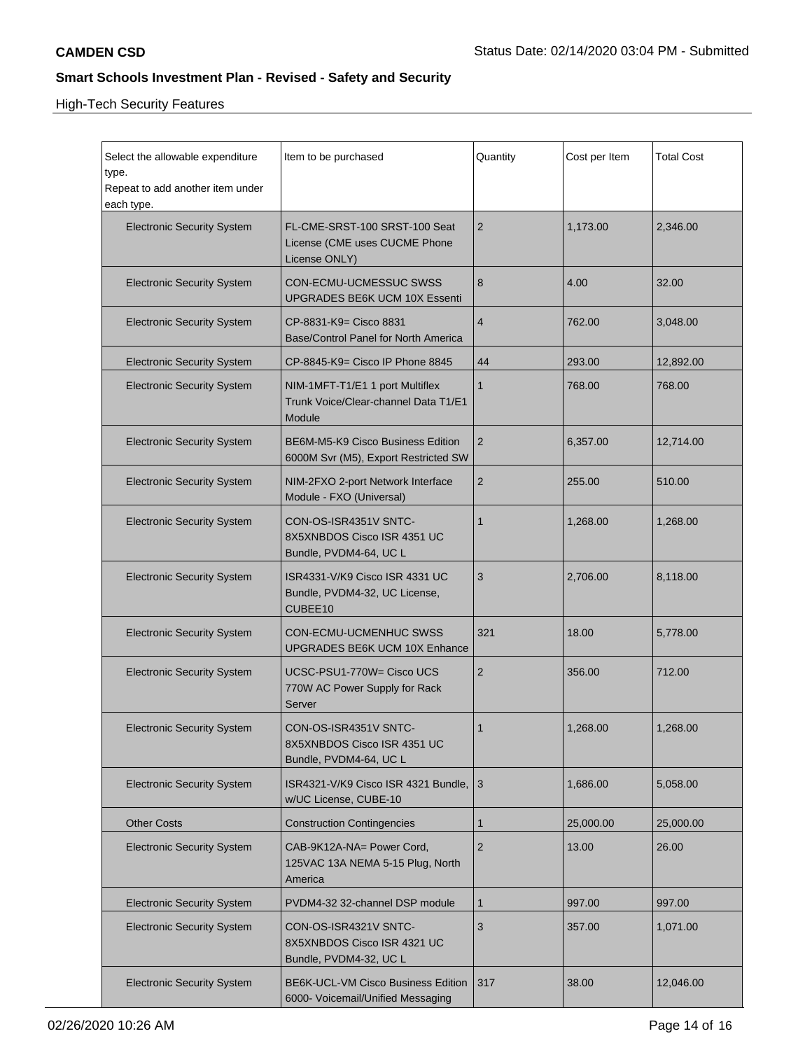High-Tech Security Features

| Select the allowable expenditure<br>type.<br>Repeat to add another item under<br>each type. | Item to be purchased                                                              | Quantity       | Cost per Item | <b>Total Cost</b> |
|---------------------------------------------------------------------------------------------|-----------------------------------------------------------------------------------|----------------|---------------|-------------------|
| <b>Electronic Security System</b>                                                           | FL-CME-SRST-100 SRST-100 Seat<br>License (CME uses CUCME Phone<br>License ONLY)   | $\overline{2}$ | 1,173.00      | 2,346.00          |
| <b>Electronic Security System</b>                                                           | CON-ECMU-UCMESSUC SWSS<br><b>UPGRADES BE6K UCM 10X Essenti</b>                    | 8              | 4.00          | 32.00             |
| <b>Electronic Security System</b>                                                           | CP-8831-K9= Cisco 8831<br>Base/Control Panel for North America                    | $\overline{4}$ | 762.00        | 3,048.00          |
| <b>Electronic Security System</b>                                                           | CP-8845-K9= Cisco IP Phone 8845                                                   | 44             | 293.00        | 12,892.00         |
| <b>Electronic Security System</b>                                                           | NIM-1MFT-T1/E1 1 port Multiflex<br>Trunk Voice/Clear-channel Data T1/E1<br>Module | $\mathbf{1}$   | 768.00        | 768.00            |
| <b>Electronic Security System</b>                                                           | BE6M-M5-K9 Cisco Business Edition<br>6000M Svr (M5), Export Restricted SW         | $\overline{2}$ | 6,357.00      | 12,714.00         |
| <b>Electronic Security System</b>                                                           | NIM-2FXO 2-port Network Interface<br>Module - FXO (Universal)                     | $\overline{2}$ | 255.00        | 510.00            |
| <b>Electronic Security System</b>                                                           | CON-OS-ISR4351V SNTC-<br>8X5XNBDOS Cisco ISR 4351 UC<br>Bundle, PVDM4-64, UC L    | 1              | 1,268.00      | 1,268.00          |
| <b>Electronic Security System</b>                                                           | ISR4331-V/K9 Cisco ISR 4331 UC<br>Bundle, PVDM4-32, UC License,<br>CUBEE10        | 3              | 2,706.00      | 8,118.00          |
| <b>Electronic Security System</b>                                                           | CON-ECMU-UCMENHUC SWSS<br>UPGRADES BE6K UCM 10X Enhance                           | 321            | 18.00         | 5,778.00          |
| <b>Electronic Security System</b>                                                           | UCSC-PSU1-770W= Cisco UCS<br>770W AC Power Supply for Rack<br>Server              | $\overline{2}$ | 356.00        | 712.00            |
| <b>Electronic Security System</b>                                                           | CON-OS-ISR4351V SNTC-<br>8X5XNBDOS Cisco ISR 4351 UC<br>Bundle, PVDM4-64, UC L    | 1              | 1,268.00      | 1,268.00          |
| <b>Electronic Security System</b>                                                           | ISR4321-V/K9 Cisco ISR 4321 Bundle, 3<br>w/UC License, CUBE-10                    |                | 1,686.00      | 5,058.00          |
| <b>Other Costs</b>                                                                          | <b>Construction Contingencies</b>                                                 | 1              | 25,000.00     | 25,000.00         |
| <b>Electronic Security System</b>                                                           | CAB-9K12A-NA= Power Cord,<br>125VAC 13A NEMA 5-15 Plug, North<br>America          | $\overline{2}$ | 13.00         | 26.00             |
| <b>Electronic Security System</b>                                                           | PVDM4-32 32-channel DSP module                                                    | 1              | 997.00        | 997.00            |
| <b>Electronic Security System</b>                                                           | CON-OS-ISR4321V SNTC-<br>8X5XNBDOS Cisco ISR 4321 UC<br>Bundle, PVDM4-32, UC L    | 3              | 357.00        | 1,071.00          |
| <b>Electronic Security System</b>                                                           | BE6K-UCL-VM Cisco Business Edition<br>6000- Voicemail/Unified Messaging           | 317            | 38.00         | 12,046.00         |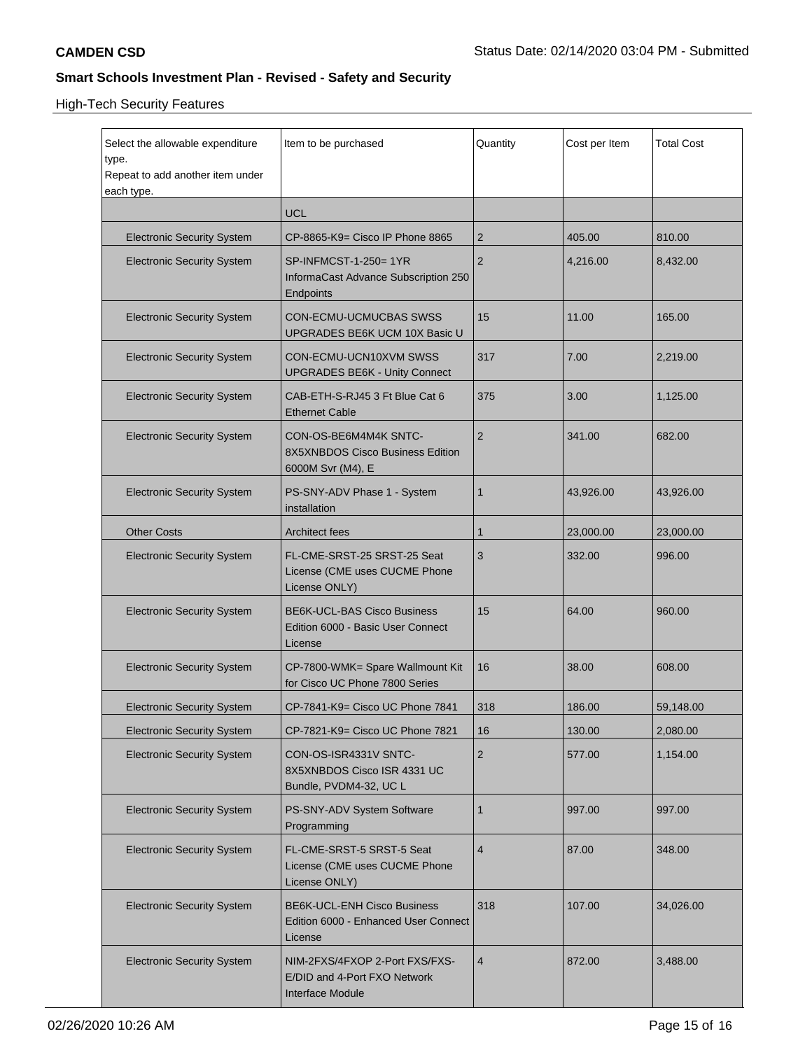# High-Tech Security Features

| Select the allowable expenditure<br>type.<br>Repeat to add another item under<br>each type. | Item to be purchased                                                                  | Quantity       | Cost per Item | Total Cost |
|---------------------------------------------------------------------------------------------|---------------------------------------------------------------------------------------|----------------|---------------|------------|
|                                                                                             | <b>UCL</b>                                                                            |                |               |            |
| <b>Electronic Security System</b>                                                           | CP-8865-K9= Cisco IP Phone 8865                                                       | $\overline{2}$ | 405.00        | 810.00     |
| <b>Electronic Security System</b>                                                           | SP-INFMCST-1-250= 1YR<br>InformaCast Advance Subscription 250<br>Endpoints            | $\overline{2}$ | 4,216.00      | 8,432.00   |
| <b>Electronic Security System</b>                                                           | CON-ECMU-UCMUCBAS SWSS<br>UPGRADES BE6K UCM 10X Basic U                               | 15             | 11.00         | 165.00     |
| <b>Electronic Security System</b>                                                           | CON-ECMU-UCN10XVM SWSS<br><b>UPGRADES BE6K - Unity Connect</b>                        | 317            | 7.00          | 2,219.00   |
| <b>Electronic Security System</b>                                                           | CAB-ETH-S-RJ45 3 Ft Blue Cat 6<br><b>Ethernet Cable</b>                               | 375            | 3.00          | 1,125.00   |
| <b>Electronic Security System</b>                                                           | CON-OS-BE6M4M4K SNTC-<br>8X5XNBDOS Cisco Business Edition<br>6000M Svr (M4), E        | $\overline{2}$ | 341.00        | 682.00     |
| <b>Electronic Security System</b>                                                           | PS-SNY-ADV Phase 1 - System<br>installation                                           | $\mathbf{1}$   | 43,926.00     | 43,926.00  |
| <b>Other Costs</b>                                                                          | <b>Architect fees</b>                                                                 | $\mathbf 1$    | 23,000.00     | 23,000.00  |
| <b>Electronic Security System</b>                                                           | FL-CME-SRST-25 SRST-25 Seat<br>License (CME uses CUCME Phone<br>License ONLY)         | 3              | 332.00        | 996.00     |
| <b>Electronic Security System</b>                                                           | <b>BE6K-UCL-BAS Cisco Business</b><br>Edition 6000 - Basic User Connect<br>License    | 15             | 64.00         | 960.00     |
| <b>Electronic Security System</b>                                                           | CP-7800-WMK= Spare Wallmount Kit<br>for Cisco UC Phone 7800 Series                    | 16             | 38.00         | 608.00     |
| <b>Electronic Security System</b>                                                           | CP-7841-K9= Cisco UC Phone 7841                                                       | 318            | 186.00        | 59,148.00  |
| <b>Electronic Security System</b>                                                           | CP-7821-K9= Cisco UC Phone 7821                                                       | 16             | 130.00        | 2,080.00   |
| <b>Electronic Security System</b>                                                           | CON-OS-ISR4331V SNTC-<br>8X5XNBDOS Cisco ISR 4331 UC<br>Bundle, PVDM4-32, UC L        | 2              | 577.00        | 1,154.00   |
| <b>Electronic Security System</b>                                                           | PS-SNY-ADV System Software<br>Programming                                             | $\mathbf{1}$   | 997.00        | 997.00     |
| <b>Electronic Security System</b>                                                           | FL-CME-SRST-5 SRST-5 Seat<br>License (CME uses CUCME Phone<br>License ONLY)           | $\overline{4}$ | 87.00         | 348.00     |
| <b>Electronic Security System</b>                                                           | <b>BE6K-UCL-ENH Cisco Business</b><br>Edition 6000 - Enhanced User Connect<br>License | 318            | 107.00        | 34,026.00  |
| <b>Electronic Security System</b>                                                           | NIM-2FXS/4FXOP 2-Port FXS/FXS-<br>E/DID and 4-Port FXO Network<br>Interface Module    | $\overline{4}$ | 872.00        | 3,488.00   |